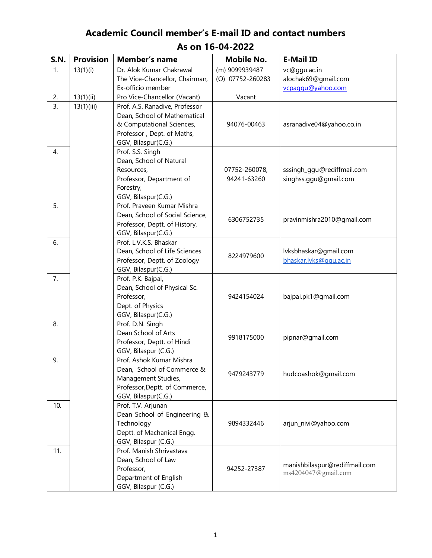## **Academic Council member's E-mail ID and contact numbers As on 16-04-2022**

| <b>S.N.</b>      | <b>Provision</b> | Member's name                                      | <b>Mobile No.</b> | <b>E-Mail ID</b>              |
|------------------|------------------|----------------------------------------------------|-------------------|-------------------------------|
| $\mathbf{1}$ .   | 13(1)(i)         | Dr. Alok Kumar Chakrawal                           | (m) 9099939487    | vc@ggu.ac.in                  |
|                  |                  | The Vice-Chancellor, Chairman,                     | (O) 07752-260283  | alochak69@gmail.com           |
|                  |                  | Ex-officio member                                  |                   | vcpaggu@yahoo.com             |
| 2.               | 13(1)(ii)        | Pro Vice-Chancellor (Vacant)                       | Vacant            |                               |
| $\overline{3}$ . | 13(1)(iii)       | Prof. A.S. Ranadive, Professor                     |                   |                               |
|                  |                  | Dean, School of Mathematical                       |                   |                               |
|                  |                  | & Computational Sciences,                          | 94076-00463       | asranadive04@yahoo.co.in      |
|                  |                  | Professor, Dept. of Maths,                         |                   |                               |
|                  |                  | GGV, Bilaspur(C.G.)                                |                   |                               |
| 4.               |                  | Prof. S.S. Singh                                   |                   |                               |
|                  |                  | Dean, School of Natural                            |                   |                               |
|                  |                  | Resources,                                         | 07752-260078,     | sssingh_ggu@rediffmail.com    |
|                  |                  | Professor, Department of                           | 94241-63260       | singhss.ggu@gmail.com         |
|                  |                  | Forestry,                                          |                   |                               |
|                  |                  | GGV, Bilaspur(C.G.)                                |                   |                               |
| 5.               |                  | Prof. Praveen Kumar Mishra                         |                   |                               |
|                  |                  | Dean, School of Social Science,                    | 6306752735        | pravinmishra2010@gmail.com    |
|                  |                  | Professor, Deptt. of History,                      |                   |                               |
|                  |                  | GGV, Bilaspur(C.G.)                                |                   |                               |
| 6.               |                  | Prof. L.V.K.S. Bhaskar                             |                   |                               |
|                  |                  | Dean, School of Life Sciences                      | 8224979600        | lvksbhaskar@gmail.com         |
|                  |                  | Professor, Deptt. of Zoology                       |                   | bhaskar.lvks@ggu.ac.in        |
|                  |                  | GGV, Bilaspur(C.G.)                                |                   |                               |
| 7.               |                  | Prof. P.K. Bajpai,                                 |                   |                               |
|                  |                  | Dean, School of Physical Sc.                       |                   |                               |
|                  |                  | Professor,                                         | 9424154024        | bajpai.pk1@gmail.com          |
|                  |                  | Dept. of Physics                                   |                   |                               |
|                  |                  | GGV, Bilaspur(C.G.)                                |                   |                               |
| 8.               |                  | Prof. D.N. Singh                                   |                   |                               |
|                  |                  | Dean School of Arts                                | 9918175000        | pipnar@gmail.com              |
|                  |                  | Professor, Deptt. of Hindi                         |                   |                               |
|                  |                  | GGV, Bilaspur (C.G.)                               |                   |                               |
| 9.               |                  | Prof. Ashok Kumar Mishra                           |                   |                               |
|                  |                  | Dean, School of Commerce &                         | 9479243779        | hudcoashok@gmail.com          |
|                  |                  | Management Studies,                                |                   |                               |
|                  |                  | Professor, Deptt. of Commerce,                     |                   |                               |
|                  |                  | GGV, Bilaspur(C.G.)                                |                   |                               |
| 10.              |                  | Prof. T.V. Arjunan                                 |                   |                               |
|                  |                  | Dean School of Engineering &                       | 9894332446        | arjun_nivi@yahoo.com          |
|                  |                  | Technology                                         |                   |                               |
|                  |                  | Deptt. of Machanical Engg.<br>GGV, Bilaspur (C.G.) |                   |                               |
| 11.              |                  | Prof. Manish Shrivastava                           |                   |                               |
|                  |                  | Dean, School of Law                                |                   |                               |
|                  |                  | Professor,                                         | 94252-27387       | manishbilaspur@rediffmail.com |
|                  |                  | Department of English                              |                   | ms4204047@gmail.com           |
|                  |                  | GGV, Bilaspur (C.G.)                               |                   |                               |
|                  |                  |                                                    |                   |                               |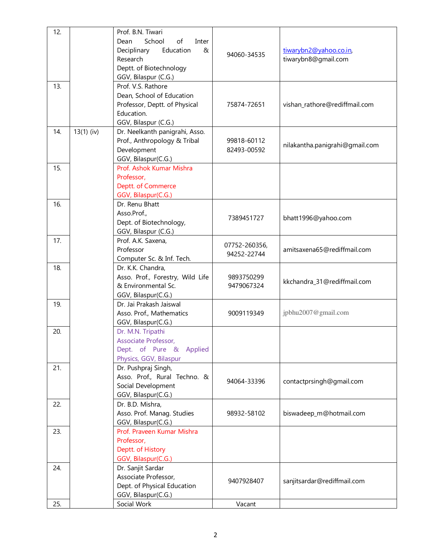| 12. |              | Prof. B.N. Tiwari<br>School<br>of<br>Dean<br>Inter<br>Deciplinary<br>Education<br>&<br>Research<br>Deptt. of Biotechnology<br>GGV, Bilaspur (C.G.) | 94060-34535                  | tiwarybn2@yahoo.co.in<br>tiwarybn8@gmail.com |
|-----|--------------|----------------------------------------------------------------------------------------------------------------------------------------------------|------------------------------|----------------------------------------------|
| 13. |              | Prof. V.S. Rathore<br>Dean, School of Education<br>Professor, Deptt. of Physical<br>Education.<br>GGV, Bilaspur (C.G.)                             | 75874-72651                  | vishan_rathore@rediffmail.com                |
| 14. | $13(1)$ (iv) | Dr. Neelkanth panigrahi, Asso.<br>Prof., Anthropology & Tribal<br>Development<br>GGV, Bilaspur(C.G.)                                               | 99818-60112<br>82493-00592   | nilakantha.panigrahi@gmail.com               |
| 15. |              | Prof. Ashok Kumar Mishra<br>Professor,<br>Deptt. of Commerce<br>GGV, Bilaspur(C.G.)                                                                |                              |                                              |
| 16. |              | Dr. Renu Bhatt<br>Asso.Prof.,<br>Dept. of Biotechnology,<br>GGV, Bilaspur (C.G.)                                                                   | 7389451727                   | bhatt1996@yahoo.com                          |
| 17. |              | Prof. A.K. Saxena,<br>Professor<br>Computer Sc. & Inf. Tech.                                                                                       | 07752-260356,<br>94252-22744 | amitsaxena65@rediffmail.com                  |
| 18. |              | Dr. K.K. Chandra,<br>Asso. Prof., Forestry, Wild Life<br>& Environmental Sc.<br>GGV, Bilaspur(C.G.)                                                | 9893750299<br>9479067324     | kkchandra_31@rediffmail.com                  |
| 19. |              | Dr. Jai Prakash Jaiswal<br>Asso. Prof., Mathematics<br>GGV, Bilaspur(C.G.)                                                                         | 9009119349                   | jpbhu2007@gmail.com                          |
| 20. |              | Dr. M.N. Tripathi<br>Associate Professor,<br>Dept. of Pure & Applied<br>Physics, GGV, Bilaspur                                                     |                              |                                              |
| 21. |              | Dr. Pushpraj Singh,<br>Asso. Prof., Rural Techno. &<br>Social Development<br>GGV, Bilaspur(C.G.)                                                   | 94064-33396                  | contactprsingh@gmail.com                     |
| 22. |              | Dr. B.D. Mishra,<br>Asso. Prof. Manag. Studies<br>GGV, Bilaspur(C.G.)                                                                              | 98932-58102                  | biswadeep_m@hotmail.com                      |
| 23. |              | Prof. Praveen Kumar Mishra<br>Professor,<br>Deptt. of History<br>GGV, Bilaspur(C.G.)                                                               |                              |                                              |
| 24. |              | Dr. Sanjit Sardar<br>Associate Professor,<br>Dept. of Physical Education<br>GGV, Bilaspur(C.G.)                                                    | 9407928407                   | sanjitsardar@rediffmail.com                  |
| 25. |              | Social Work                                                                                                                                        | Vacant                       |                                              |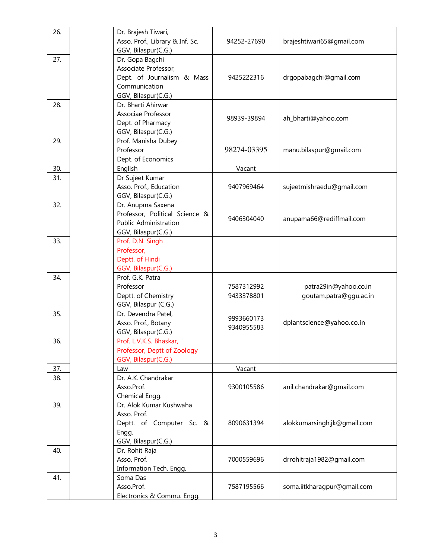| 26. | Dr. Brajesh Tiwari,<br>Asso. Prof., Library & Inf. Sc.<br>GGV, Bilaspur(C.G.)                                 | 94252-27690              | brajeshtiwari65@gmail.com                       |
|-----|---------------------------------------------------------------------------------------------------------------|--------------------------|-------------------------------------------------|
| 27. | Dr. Gopa Bagchi<br>Associate Professor,<br>Dept. of Journalism & Mass<br>Communication<br>GGV, Bilaspur(C.G.) | 9425222316               | drgopabagchi@gmail.com                          |
| 28. | Dr. Bharti Ahirwar<br>Associae Professor<br>Dept. of Pharmacy<br>GGV, Bilaspur(C.G.)                          | 98939-39894              | ah_bharti@yahoo.com                             |
| 29. | Prof. Manisha Dubey<br>Professor<br>Dept. of Economics                                                        | 98274-03395              | manu.bilaspur@gmail.com                         |
| 30. | English                                                                                                       | Vacant                   |                                                 |
| 31. | Dr Sujeet Kumar<br>Asso. Prof., Education<br>GGV, Bilaspur(C.G.)                                              | 9407969464               | sujeetmishraedu@gmail.com                       |
| 32. | Dr. Anupma Saxena<br>Professor, Political Science &<br><b>Public Administration</b><br>GGV, Bilaspur(C.G.)    | 9406304040               | anupama66@rediffmail.com                        |
| 33. | Prof. D.N. Singh<br>Professor,<br>Deptt. of Hindi<br>GGV, Bilaspur(C.G.)                                      |                          |                                                 |
| 34. | Prof. G.K. Patra<br>Professor<br>Deptt. of Chemistry<br>GGV, Bilaspur (C,G.)                                  | 7587312992<br>9433378801 | patra29in@yahoo.co.in<br>goutam.patra@ggu.ac.in |
| 35. | Dr. Devendra Patel,<br>Asso. Prof., Botany<br>GGV, Bilaspur(C.G.)                                             | 9993660173<br>9340955583 | dplantscience@yahoo.co.in                       |
| 36. | Prof. L.V.K.S. Bhaskar,<br>Professor, Deptt of Zoology<br>GGV, Bilaspur(C.G.)                                 |                          |                                                 |
| 37. | Law                                                                                                           | Vacant                   |                                                 |
| 38. | Dr. A.K. Chandrakar<br>Asso.Prof.<br>Chemical Engg.                                                           | 9300105586               | anil.chandrakar@gmail.com                       |
| 39. | Dr. Alok Kumar Kushwaha<br>Asso. Prof.<br>Deptt. of Computer Sc. &<br>Engg.<br>GGV, Bilaspur(C.G.)            | 8090631394               | alokkumarsingh.jk@gmail.com                     |
| 40. | Dr. Rohit Raja<br>Asso. Prof.<br>Information Tech. Engg.                                                      | 7000559696               | drrohitraja1982@gmail.com                       |
| 41. | Soma Das<br>Asso.Prof.<br>Electronics & Commu. Engg.                                                          | 7587195566               | soma.iitkharagpur@gmail.com                     |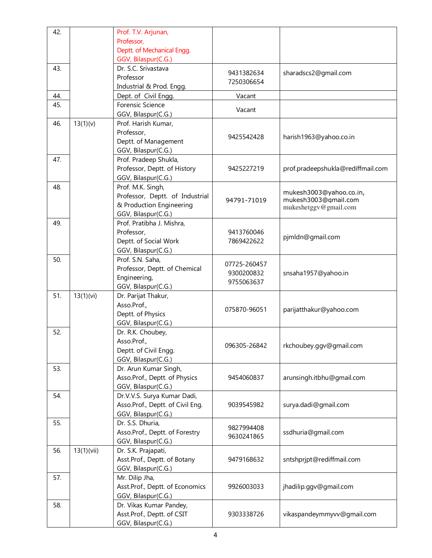| 42. |            | Prof. T.V. Arjunan,              |              |                                   |
|-----|------------|----------------------------------|--------------|-----------------------------------|
|     |            | Professor,                       |              |                                   |
|     |            | Deptt. of Mechanical Engg.       |              |                                   |
|     |            | GGV, Bilaspur(C.G.)              |              |                                   |
| 43. |            | Dr. S.C. Srivastava              |              |                                   |
|     |            | Professor                        | 9431382634   | sharadscs2@gmail.com              |
|     |            | Industrial & Prod. Engg.         | 7250306654   |                                   |
| 44. |            | Dept. of Civil Engg.             | Vacant       |                                   |
| 45. |            | Forensic Science                 |              |                                   |
|     |            | GGV, Bilaspur(C.G.)              | Vacant       |                                   |
| 46. | 13(1)(v)   | Prof. Harish Kumar,              |              |                                   |
|     |            | Professor,                       |              |                                   |
|     |            | Deptt. of Management             | 9425542428   | harish1963@yahoo.co.in            |
|     |            | GGV, Bilaspur(C.G.)              |              |                                   |
| 47. |            | Prof. Pradeep Shukla,            |              |                                   |
|     |            | Professor, Deptt. of History     | 9425227219   | prof.pradeepshukla@rediffmail.com |
|     |            | GGV, Bilaspur(C.G.)              |              |                                   |
| 48. |            | Prof. M.K. Singh,                |              |                                   |
|     |            | Professor, Deptt. of Industrial  |              | mukesh3003@yahoo.co.in,           |
|     |            | & Production Engineering         | 94791-71019  | mukesh3003@gmail.com              |
|     |            | GGV, Bilaspur(C.G.)              |              | mukeshetggv@gmail.com             |
| 49. |            | Prof. Pratibha J. Mishra,        |              |                                   |
|     |            | Professor,                       | 9413760046   |                                   |
|     |            | Deptt. of Social Work            | 7869422622   | pjmldn@gmail.com                  |
|     |            | GGV, Bilaspur(C.G.)              |              |                                   |
| 50. |            | Prof. S.N. Saha,                 |              |                                   |
|     |            | Professor, Deptt. of Chemical    | 07725-260457 |                                   |
|     |            | Engineering,                     | 9300200832   | snsaha1957@yahoo.in               |
|     |            | GGV, Bilaspur(C.G.)              | 9755063637   |                                   |
| 51. | 13(1)(vi)  | Dr. Parijat Thakur,              |              |                                   |
|     |            | Asso.Prof.,                      |              |                                   |
|     |            | Deptt. of Physics                | 075870-96051 | parijatthakur@yahoo.com           |
|     |            | GGV, Bilaspur(C.G.)              |              |                                   |
| 52. |            | Dr. R.K. Choubey,                |              |                                   |
|     |            | Asso.Prof.,                      |              |                                   |
|     |            | Deptt. of Civil Engg.            | 096305-26842 | rkchoubey.ggv@gmail.com           |
|     |            | GGV, Bilaspur(C.G.)              |              |                                   |
| 53. |            | Dr. Arun Kumar Singh,            |              |                                   |
|     |            | Asso.Prof., Deptt. of Physics    | 9454060837   | arunsingh.itbhu@gmail.com         |
|     |            | GGV, Bilaspur(C.G.)              |              |                                   |
| 54. |            | Dr.V.V.S. Surya Kumar Dadi,      |              |                                   |
|     |            | Asso.Prof., Deptt. of Civil Eng. | 9039545982   | surya.dadi@gmail.com              |
|     |            | GGV, Bilaspur(C.G.)              |              |                                   |
| 55. |            | Dr. S.S. Dhuria,                 |              |                                   |
|     |            | Asso.Prof., Deptt. of Forestry   | 9827994408   | ssdhuria@gmail.com                |
|     |            | GGV, Bilaspur(C.G.)              | 9630241865   |                                   |
| 56. | 13(1)(vii) | Dr. S.K. Prajapati,              |              |                                   |
|     |            | Asst.Prof., Deptt. of Botany     | 9479168632   | sntshprjpt@rediffmail.com         |
|     |            | GGV, Bilaspur(C.G.)              |              |                                   |
| 57. |            | Mr. Dilip Jha,                   |              |                                   |
|     |            | Asst.Prof., Deptt. of Economics  | 9926003033   | jhadilip.ggv@gmail.com            |
|     |            | GGV, Bilaspur(C.G.)              |              |                                   |
| 58. |            | Dr. Vikas Kumar Pandey,          |              |                                   |
|     |            | Asst.Prof., Deptt. of CSIT       | 9303338726   | vikaspandeymmyvv@gmail.com        |
|     |            | GGV, Bilaspur(C.G.)              |              |                                   |